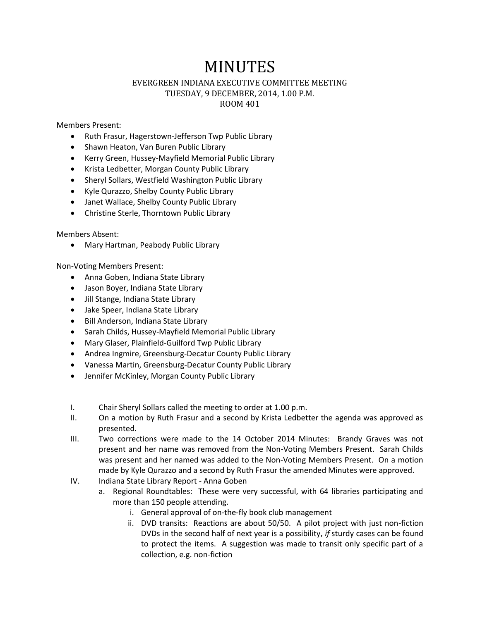## MINUTES

## EVERGREEN INDIANA EXECUTIVE COMMITTEE MEETING TUESDAY, 9 DECEMBER, 2014, 1.00 P.M. ROOM 401

Members Present:

- Ruth Frasur, Hagerstown-Jefferson Twp Public Library
- Shawn Heaton, Van Buren Public Library
- Kerry Green, Hussey-Mayfield Memorial Public Library
- Krista Ledbetter, Morgan County Public Library
- Sheryl Sollars, Westfield Washington Public Library
- Kyle Qurazzo, Shelby County Public Library
- Janet Wallace, Shelby County Public Library
- Christine Sterle, Thorntown Public Library

Members Absent:

Mary Hartman, Peabody Public Library

Non-Voting Members Present:

- Anna Goben, Indiana State Library
- Jason Boyer, Indiana State Library
- Jill Stange, Indiana State Library
- Jake Speer, Indiana State Library
- Bill Anderson, Indiana State Library
- Sarah Childs, Hussey-Mayfield Memorial Public Library
- Mary Glaser, Plainfield-Guilford Twp Public Library
- Andrea Ingmire, Greensburg-Decatur County Public Library
- Vanessa Martin, Greensburg-Decatur County Public Library
- Jennifer McKinley, Morgan County Public Library
- I. Chair Sheryl Sollars called the meeting to order at 1.00 p.m.
- II. On a motion by Ruth Frasur and a second by Krista Ledbetter the agenda was approved as presented.
- III. Two corrections were made to the 14 October 2014 Minutes: Brandy Graves was not present and her name was removed from the Non-Voting Members Present. Sarah Childs was present and her named was added to the Non-Voting Members Present. On a motion made by Kyle Qurazzo and a second by Ruth Frasur the amended Minutes were approved.
- IV. Indiana State Library Report Anna Goben
	- a. Regional Roundtables: These were very successful, with 64 libraries participating and more than 150 people attending.
		- i. General approval of on-the-fly book club management
		- ii. DVD transits: Reactions are about 50/50. A pilot project with just non-fiction DVDs in the second half of next year is a possibility, *if* sturdy cases can be found to protect the items. A suggestion was made to transit only specific part of a collection, e.g. non-fiction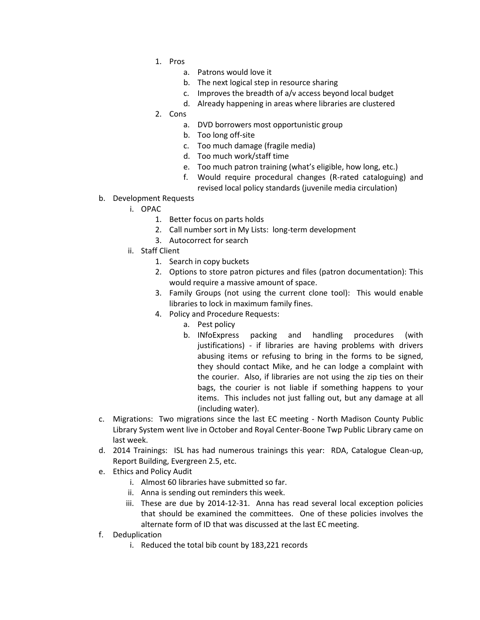- 1. Pros
	- a. Patrons would love it
	- b. The next logical step in resource sharing
	- c. Improves the breadth of a/v access beyond local budget
	- d. Already happening in areas where libraries are clustered
- 2. Cons
	- a. DVD borrowers most opportunistic group
	- b. Too long off-site
	- c. Too much damage (fragile media)
	- d. Too much work/staff time
	- e. Too much patron training (what's eligible, how long, etc.)
	- f. Would require procedural changes (R-rated cataloguing) and revised local policy standards (juvenile media circulation)
- b. Development Requests
	- i. OPAC
		- 1. Better focus on parts holds
		- 2. Call number sort in My Lists: long-term development
		- 3. Autocorrect for search
	- ii. Staff Client
		- 1. Search in copy buckets
		- 2. Options to store patron pictures and files (patron documentation): This would require a massive amount of space.
		- 3. Family Groups (not using the current clone tool): This would enable libraries to lock in maximum family fines.
		- 4. Policy and Procedure Requests:
			- a. Pest policy
			- b. INfoExpress packing and handling procedures (with justifications) - if libraries are having problems with drivers abusing items or refusing to bring in the forms to be signed, they should contact Mike, and he can lodge a complaint with the courier. Also, if libraries are not using the zip ties on their bags, the courier is not liable if something happens to your items. This includes not just falling out, but any damage at all (including water).
- c. Migrations: Two migrations since the last EC meeting North Madison County Public Library System went live in October and Royal Center-Boone Twp Public Library came on last week.
- d. 2014 Trainings: ISL has had numerous trainings this year: RDA, Catalogue Clean-up, Report Building, Evergreen 2.5, etc.
- e. Ethics and Policy Audit
	- i. Almost 60 libraries have submitted so far.
	- ii. Anna is sending out reminders this week.
	- iii. These are due by 2014-12-31. Anna has read several local exception policies that should be examined the committees. One of these policies involves the alternate form of ID that was discussed at the last EC meeting.
- f. Deduplication
	- i. Reduced the total bib count by 183,221 records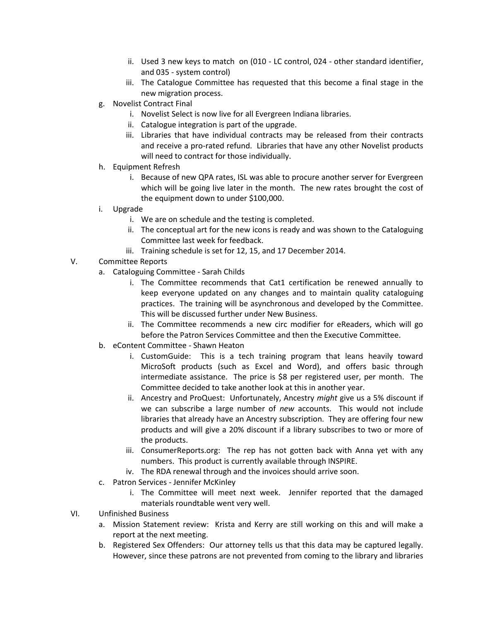- ii. Used 3 new keys to match on (010 LC control, 024 other standard identifier, and 035 - system control)
- iii. The Catalogue Committee has requested that this become a final stage in the new migration process.
- g. Novelist Contract Final
	- i. Novelist Select is now live for all Evergreen Indiana libraries.
	- ii. Catalogue integration is part of the upgrade.
	- iii. Libraries that have individual contracts may be released from their contracts and receive a pro-rated refund. Libraries that have any other Novelist products will need to contract for those individually.
- h. Equipment Refresh
	- i. Because of new QPA rates, ISL was able to procure another server for Evergreen which will be going live later in the month. The new rates brought the cost of the equipment down to under \$100,000.
- i. Upgrade
	- i. We are on schedule and the testing is completed.
	- ii. The conceptual art for the new icons is ready and was shown to the Cataloguing Committee last week for feedback.
	- iii. Training schedule is set for 12, 15, and 17 December 2014.
- V. Committee Reports
	- a. Cataloguing Committee Sarah Childs
		- i. The Committee recommends that Cat1 certification be renewed annually to keep everyone updated on any changes and to maintain quality cataloguing practices. The training will be asynchronous and developed by the Committee. This will be discussed further under New Business.
		- ii. The Committee recommends a new circ modifier for eReaders, which will go before the Patron Services Committee and then the Executive Committee.
	- b. eContent Committee Shawn Heaton
		- i. CustomGuide: This is a tech training program that leans heavily toward MicroSoft products (such as Excel and Word), and offers basic through intermediate assistance. The price is \$8 per registered user, per month. The Committee decided to take another look at this in another year.
		- ii. Ancestry and ProQuest: Unfortunately, Ancestry *might* give us a 5% discount if we can subscribe a large number of *new* accounts. This would not include libraries that already have an Ancestry subscription. They are offering four new products and will give a 20% discount if a library subscribes to two or more of the products.
		- iii. ConsumerReports.org: The rep has not gotten back with Anna yet with any numbers. This product is currently available through INSPIRE.
		- iv. The RDA renewal through and the invoices should arrive soon.
	- c. Patron Services Jennifer McKinley
		- i. The Committee will meet next week. Jennifer reported that the damaged materials roundtable went very well.
- VI. Unfinished Business
	- a. Mission Statement review: Krista and Kerry are still working on this and will make a report at the next meeting.
	- b. Registered Sex Offenders: Our attorney tells us that this data may be captured legally. However, since these patrons are not prevented from coming to the library and libraries